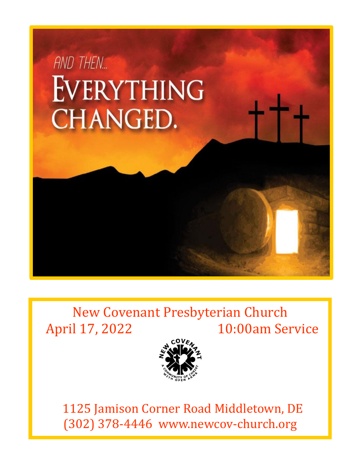

# New Covenant Presbyterian Church April 17, 2022 10:00am Service



 1125 Jamison Corner Road Middletown, DE (302) 378-4446 www.newcov-church.org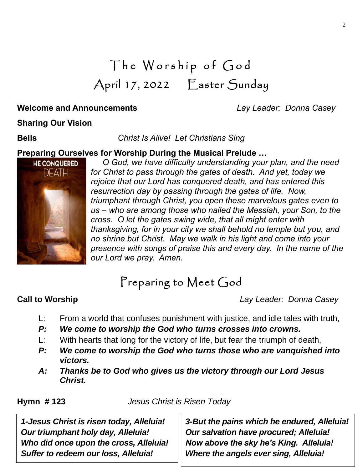# The Worship of God April 17, 2022 Easter Sunday

# **Welcome and Announcements** *Lay Leader: Donna Casey*

### **Sharing Our Vision**

**Bells** *Christ Is Alive! Let Christians Sing*

# **Preparing Ourselves for Worship During the Musical Prelude …**



*O God, we have difficulty understanding your plan, and the need for Christ to pass through the gates of death. And yet, today we rejoice that our Lord has conquered death, and has entered this resurrection day by passing through the gates of life. Now, triumphant through Christ, you open these marvelous gates even to us – who are among those who nailed the Messiah, your Son, to the cross. O let the gates swing wide, that all might enter with thanksgiving, for in your city we shall behold no temple but you, and no shrine but Christ. May we walk in his light and come into your presence with songs of praise this and every day. In the name of the our Lord we pray. Amen.* 

# Preparing to Meet God

**Call to Worship** *Lay Leader: Donna Casey*

- L: From a world that confuses punishment with justice, and idle tales with truth,
- *P: We come to worship the God who turns crosses into crowns.*
- L: With hearts that long for the victory of life, but fear the triumph of death,
- *P: We come to worship the God who turns those who are vanquished into victors.*
- *A: Thanks be to God who gives us the victory through our Lord Jesus Christ.*

**Hymn # 123** *Jesus Christ is Risen Today*

*1-Jesus Christ is risen today, Alleluia! Our triumphant holy day, Alleluia! Who did once upon the cross, Alleluia! Suffer to redeem our loss, Alleluia!*

*3-But the pains which he endured, Alleluia! Our salvation have procured; Alleluia! Now above the sky he's King. Alleluia! Where the angels ever sing, Alleluia!*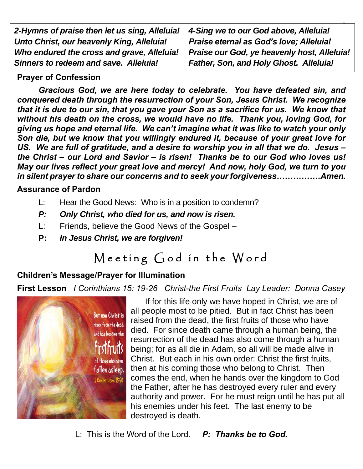| 2-Hymns of praise then let us sing, Alleluia! | 4-Sing we to our God above, Alleluia!         |
|-----------------------------------------------|-----------------------------------------------|
| Unto Christ, our heavenly King, Alleluia!     | Praise eternal as God's love; Alleluia!       |
| Who endured the cross and grave, Alleluia!    | Praise our God, ye heavenly host, Alleluia!   |
| Sinners to redeem and save. Alleluia!         | <b>Father, Son, and Holy Ghost. Alleluia!</b> |

## **Prayer of Confession**

*Gracious God, we are here today to celebrate. You have defeated sin, and conquered death through the resurrection of your Son, Jesus Christ. We recognize that it is due to our sin, that you gave your Son as a sacrifice for us. We know that without his death on the cross, we would have no life. Thank you, loving God, for giving us hope and eternal life. We can't imagine what it was like to watch your only Son die, but we know that you willingly endured it, because of your great love for US. We are full of gratitude, and a desire to worship you in all that we do. Jesus – the Christ – our Lord and Savior – is risen! Thanks be to our God who loves us! May our lives reflect your great love and mercy! And now, holy God, we turn to you in silent prayer to share our concerns and to seek your forgiveness…………….Amen.*

### **Assurance of Pardon**

- L: Hear the Good News: Who is in a position to condemn?
- *P: Only Christ, who died for us, and now is risen.*
- L: Friends, believe the Good News of the Gospel –
- **P:** *In Jesus Christ, we are forgiven!*

# Meeting God in the Word

# **Children's Message/Prayer for Illumination**

**First Lesson** *I Corinthians 15: 19-26 Christ-the First Fruits Lay Leader: Donna Casey*



If for this life only we have hoped in Christ, we are of all people most to be pitied. But in fact Christ has been raised from the dead, the first fruits of those who have died. For since death came through a human being, the resurrection of the dead has also come through a human being; for as all die in Adam, so all will be made alive in Christ. But each in his own order: Christ the first fruits, then at his coming those who belong to Christ. Then comes the end, when he hands over the kingdom to God the Father, after he has destroyed every ruler and every authority and power. For he must reign until he has put all his enemies under his feet. The last enemy to be destroyed is death.

L: This is the Word of the Lord. *P: Thanks be to God.*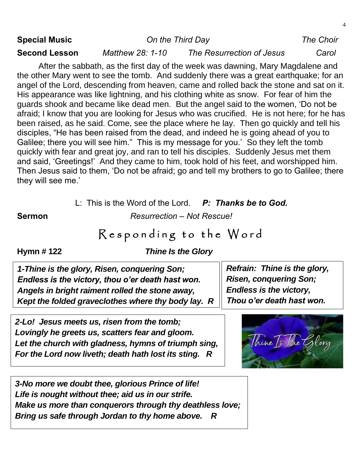| <b>Special Music</b> | On the Third Day |                                                                                                                                                                                                                                                                                                                                                                                                                                                                                                                                                                                                                                                                                                                                                                                                                                                                                                                                                                                                                                                                                                                      | <b>The Choir</b> |
|----------------------|------------------|----------------------------------------------------------------------------------------------------------------------------------------------------------------------------------------------------------------------------------------------------------------------------------------------------------------------------------------------------------------------------------------------------------------------------------------------------------------------------------------------------------------------------------------------------------------------------------------------------------------------------------------------------------------------------------------------------------------------------------------------------------------------------------------------------------------------------------------------------------------------------------------------------------------------------------------------------------------------------------------------------------------------------------------------------------------------------------------------------------------------|------------------|
| <b>Second Lesson</b> | Matthew 28: 1-10 | The Resurrection of Jesus                                                                                                                                                                                                                                                                                                                                                                                                                                                                                                                                                                                                                                                                                                                                                                                                                                                                                                                                                                                                                                                                                            | Carol            |
| they will see me.'   |                  | After the sabbath, as the first day of the week was dawning, Mary Magdalene and<br>the other Mary went to see the tomb. And suddenly there was a great earthquake; for an<br>angel of the Lord, descending from heaven, came and rolled back the stone and sat on it.<br>His appearance was like lightning, and his clothing white as snow. For fear of him the<br>guards shook and became like dead men. But the angel said to the women, 'Do not be<br>afraid; I know that you are looking for Jesus who was crucified. He is not here; for he has<br>been raised, as he said. Come, see the place where he lay. Then go quickly and tell his<br>disciples, "He has been raised from the dead, and indeed he is going ahead of you to<br>Galilee; there you will see him." This is my message for you.' So they left the tomb<br>quickly with fear and great joy, and ran to tell his disciples. Suddenly Jesus met them<br>and said, 'Greetings!' And they came to him, took hold of his feet, and worshipped him.<br>Then Jesus said to them, 'Do not be afraid; go and tell my brothers to go to Galilee; there |                  |

L: This is the Word of the Lord. *P: Thanks be to God.*

**Sermon** *Resurrection – Not Rescue!*

# Responding to the Word

**Hymn # 122** *Thine Is the Glory*

*1-Thine is the glory, Risen, conquering Son; Endless is the victory, thou o'er death hast won. Angels in bright raiment rolled the stone away, Kept the folded graveclothes where thy body lay. R*

*2-Lo! Jesus meets us, risen from the tomb; Lovingly he greets us, scatters fear and gloom. Let the church with gladness, hymns of triumph sing, For the Lord now liveth; death hath lost its sting. R*

*Refrain: Thine is the glory, Risen, conquering Son; Endless is the victory, Thou o'er death hast won.*



*3-No more we doubt thee, glorious Prince of life! Life is nought without thee; aid us in our strife. Make us more than conquerors through thy deathless love; Bring us safe through Jordan to thy home above. R*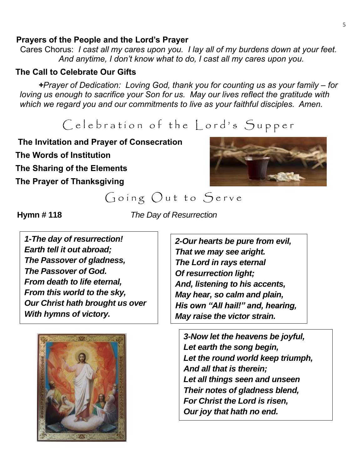#### 5

#### **Prayers of the People and the Lord's Prayer**

Cares Chorus: *I cast all my cares upon you. I lay all of my burdens down at your feet. And anytime, I don't know what to do, I cast all my cares upon you.*

#### **The Call to Celebrate Our Gifts**

*+Prayer of Dedication: Loving God, thank you for counting us as your family – for loving us enough to sacrifice your Son for us. May our lives reflect the gratitude with which we regard you and our commitments to live as your faithful disciples. Amen.*

# Celebration of the Lord's Supper

 **The Invitation and Prayer of Consecration The Words of Institution The Sharing of the Elements The Prayer of Thanksgiving**



# Going Out to Serve

**Hymn # 118** *The Day of Resurrection*

*1-The day of resurrection! Earth tell it out abroad; The Passover of gladness, The Passover of God. From death to life eternal, From this world to the sky, Our Christ hath brought us over With hymns of victory.*



*2-Our hearts be pure from evil, That we may see aright. The Lord in rays eternal Of resurrection light; And, listening to his accents, May hear, so calm and plain, His own "All hail!" and, hearing, May raise the victor strain.*

*3-Now let the heavens be joyful, Let earth the song begin, Let the round world keep triumph, And all that is therein; Let all things seen and unseen Their notes of gladness blend, For Christ the Lord is risen, Our joy that hath no end.*